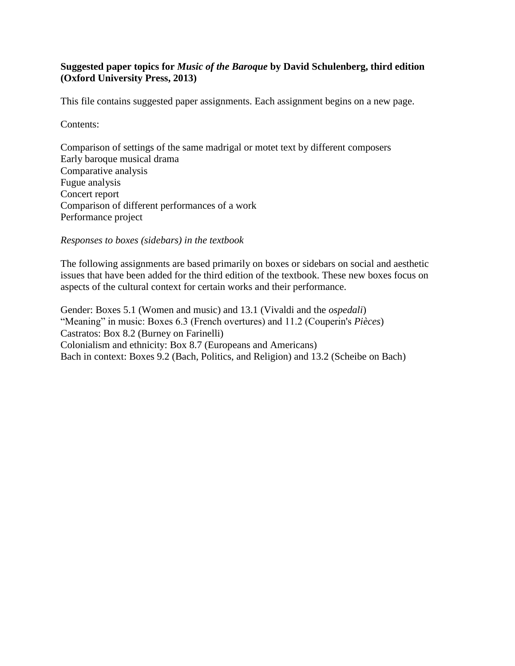# **Suggested paper topics for** *Music of the Baroque* **by David Schulenberg, third edition (Oxford University Press, 2013)**

This file contains suggested paper assignments. Each assignment begins on a new page.

Contents:

Comparison of settings of the same madrigal or motet text by different composers Early baroque musical drama Comparative analysis Fugue analysis Concert report Comparison of different performances of a work Performance project

*Responses to boxes (sidebars) in the textbook*

The following assignments are based primarily on boxes or sidebars on social and aesthetic issues that have been added for the third edition of the textbook. These new boxes focus on aspects of the cultural context for certain works and their performance.

Gender: Boxes 5.1 (Women and music) and 13.1 (Vivaldi and the *ospedali*) "Meaning" in music: Boxes 6.3 (French overtures) and 11.2 (Couperin's *Pièces*) Castratos: Box 8.2 (Burney on Farinelli) Colonialism and ethnicity: Box 8.7 (Europeans and Americans) Bach in context: Boxes 9.2 (Bach, Politics, and Religion) and 13.2 (Scheibe on Bach)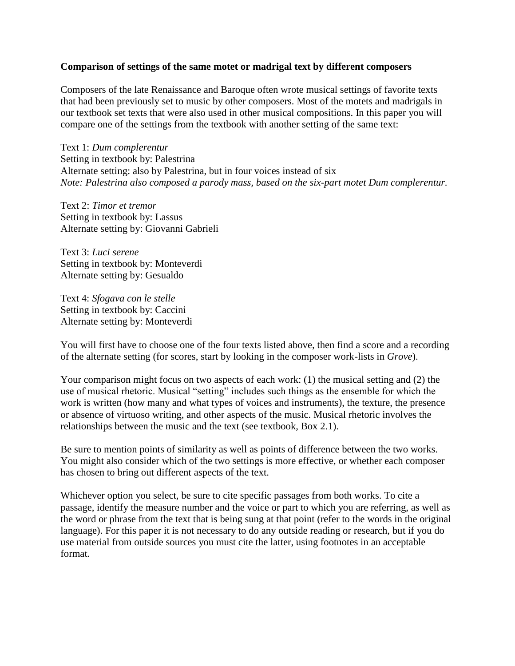#### **Comparison of settings of the same motet or madrigal text by different composers**

Composers of the late Renaissance and Baroque often wrote musical settings of favorite texts that had been previously set to music by other composers. Most of the motets and madrigals in our textbook set texts that were also used in other musical compositions. In this paper you will compare one of the settings from the textbook with another setting of the same text:

Text 1: *Dum complerentur* Setting in textbook by: Palestrina Alternate setting: also by Palestrina, but in four voices instead of six *Note: Palestrina also composed a parody mass, based on the six-part motet Dum complerentur.*

Text 2: *Timor et tremor* Setting in textbook by: Lassus Alternate setting by: Giovanni Gabrieli

Text 3: *Luci serene* Setting in textbook by: Monteverdi Alternate setting by: Gesualdo

Text 4: *Sfogava con le stelle* Setting in textbook by: Caccini Alternate setting by: Monteverdi

You will first have to choose one of the four texts listed above, then find a score and a recording of the alternate setting (for scores, start by looking in the composer work-lists in *Grove*).

Your comparison might focus on two aspects of each work: (1) the musical setting and (2) the use of musical rhetoric. Musical "setting" includes such things as the ensemble for which the work is written (how many and what types of voices and instruments), the texture, the presence or absence of virtuoso writing, and other aspects of the music. Musical rhetoric involves the relationships between the music and the text (see textbook, Box 2.1).

Be sure to mention points of similarity as well as points of difference between the two works. You might also consider which of the two settings is more effective, or whether each composer has chosen to bring out different aspects of the text.

Whichever option you select, be sure to cite specific passages from both works. To cite a passage, identify the measure number and the voice or part to which you are referring, as well as the word or phrase from the text that is being sung at that point (refer to the words in the original language). For this paper it is not necessary to do any outside reading or research, but if you do use material from outside sources you must cite the latter, using footnotes in an acceptable format.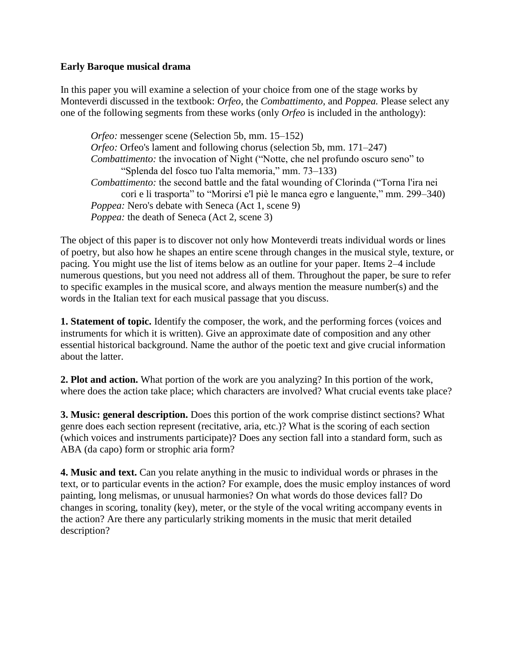# **Early Baroque musical drama**

In this paper you will examine a selection of your choice from one of the stage works by Monteverdi discussed in the textbook: *Orfeo,* the *Combattimento,* and *Poppea.* Please select any one of the following segments from these works (only *Orfeo* is included in the anthology):

*Orfeo:* messenger scene (Selection 5b, mm. 15–152) *Orfeo:* Orfeo's lament and following chorus (selection 5b, mm. 171–247) *Combattimento:* the invocation of Night ("Notte, che nel profundo oscuro seno" to "Splenda del fosco tuo l'alta memoria," mm. 73–133) *Combattimento:* the second battle and the fatal wounding of Clorinda ("Torna l'ira nei cori e li trasporta" to "Morirsi e'l piè le manca egro e languente," mm. 299–340) *Poppea:* Nero's debate with Seneca (Act 1, scene 9) *Poppea:* the death of Seneca (Act 2, scene 3)

The object of this paper is to discover not only how Monteverdi treats individual words or lines of poetry, but also how he shapes an entire scene through changes in the musical style, texture, or pacing. You might use the list of items below as an outline for your paper. Items 2–4 include numerous questions, but you need not address all of them. Throughout the paper, be sure to refer to specific examples in the musical score, and always mention the measure number(s) and the words in the Italian text for each musical passage that you discuss.

**1. Statement of topic.** Identify the composer, the work, and the performing forces (voices and instruments for which it is written). Give an approximate date of composition and any other essential historical background. Name the author of the poetic text and give crucial information about the latter.

**2. Plot and action.** What portion of the work are you analyzing? In this portion of the work, where does the action take place; which characters are involved? What crucial events take place?

**3. Music: general description.** Does this portion of the work comprise distinct sections? What genre does each section represent (recitative, aria, etc.)? What is the scoring of each section (which voices and instruments participate)? Does any section fall into a standard form, such as ABA (da capo) form or strophic aria form?

**4. Music and text.** Can you relate anything in the music to individual words or phrases in the text, or to particular events in the action? For example, does the music employ instances of word painting, long melismas, or unusual harmonies? On what words do those devices fall? Do changes in scoring, tonality (key), meter, or the style of the vocal writing accompany events in the action? Are there any particularly striking moments in the music that merit detailed description?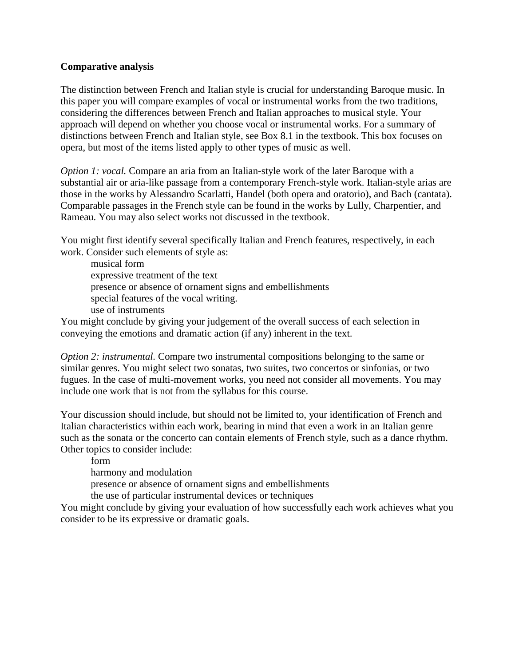# **Comparative analysis**

The distinction between French and Italian style is crucial for understanding Baroque music. In this paper you will compare examples of vocal or instrumental works from the two traditions, considering the differences between French and Italian approaches to musical style. Your approach will depend on whether you choose vocal or instrumental works. For a summary of distinctions between French and Italian style, see Box 8.1 in the textbook. This box focuses on opera, but most of the items listed apply to other types of music as well.

*Option 1: vocal.* Compare an aria from an Italian-style work of the later Baroque with a substantial air or aria-like passage from a contemporary French-style work. Italian-style arias are those in the works by Alessandro Scarlatti, Handel (both opera and oratorio), and Bach (cantata). Comparable passages in the French style can be found in the works by Lully, Charpentier, and Rameau. You may also select works not discussed in the textbook.

You might first identify several specifically Italian and French features, respectively, in each work. Consider such elements of style as:

musical form expressive treatment of the text presence or absence of ornament signs and embellishments special features of the vocal writing. use of instruments

You might conclude by giving your judgement of the overall success of each selection in conveying the emotions and dramatic action (if any) inherent in the text.

*Option 2: instrumental.* Compare two instrumental compositions belonging to the same or similar genres. You might select two sonatas, two suites, two concertos or sinfonias, or two fugues. In the case of multi-movement works, you need not consider all movements. You may include one work that is not from the syllabus for this course.

Your discussion should include, but should not be limited to, your identification of French and Italian characteristics within each work, bearing in mind that even a work in an Italian genre such as the sonata or the concerto can contain elements of French style, such as a dance rhythm. Other topics to consider include:

form harmony and modulation presence or absence of ornament signs and embellishments

the use of particular instrumental devices or techniques

You might conclude by giving your evaluation of how successfully each work achieves what you consider to be its expressive or dramatic goals.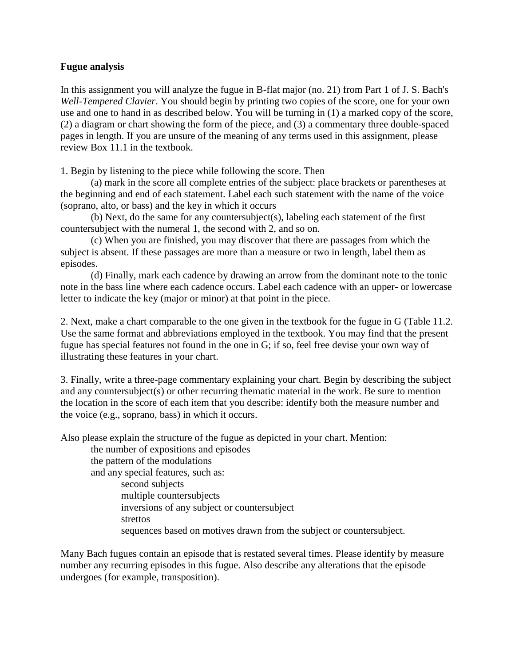### **Fugue analysis**

In this assignment you will analyze the fugue in B-flat major (no. 21) from Part 1 of J. S. Bach's *Well-Tempered Clavier*. You should begin by printing two copies of the score, one for your own use and one to hand in as described below. You will be turning in (1) a marked copy of the score, (2) a diagram or chart showing the form of the piece, and (3) a commentary three double-spaced pages in length. If you are unsure of the meaning of any terms used in this assignment, please review Box 11.1 in the textbook.

1. Begin by listening to the piece while following the score. Then

(a) mark in the score all complete entries of the subject: place brackets or parentheses at the beginning and end of each statement. Label each such statement with the name of the voice (soprano, alto, or bass) and the key in which it occurs

(b) Next, do the same for any countersubject(s), labeling each statement of the first countersubject with the numeral 1, the second with 2, and so on.

(c) When you are finished, you may discover that there are passages from which the subject is absent. If these passages are more than a measure or two in length, label them as episodes.

(d) Finally, mark each cadence by drawing an arrow from the dominant note to the tonic note in the bass line where each cadence occurs. Label each cadence with an upper- or lowercase letter to indicate the key (major or minor) at that point in the piece.

2. Next, make a chart comparable to the one given in the textbook for the fugue in G (Table 11.2. Use the same format and abbreviations employed in the textbook. You may find that the present fugue has special features not found in the one in G; if so, feel free devise your own way of illustrating these features in your chart.

3. Finally, write a three-page commentary explaining your chart. Begin by describing the subject and any countersubject(s) or other recurring thematic material in the work. Be sure to mention the location in the score of each item that you describe: identify both the measure number and the voice (e.g., soprano, bass) in which it occurs.

Also please explain the structure of the fugue as depicted in your chart. Mention:

the number of expositions and episodes the pattern of the modulations and any special features, such as: second subjects multiple countersubjects inversions of any subject or countersubject strettos sequences based on motives drawn from the subject or countersubject.

Many Bach fugues contain an episode that is restated several times. Please identify by measure number any recurring episodes in this fugue. Also describe any alterations that the episode undergoes (for example, transposition).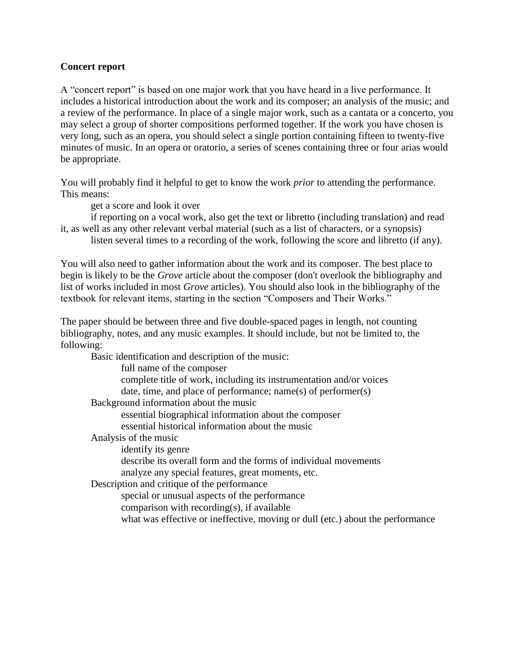## **Concert report**

A "concert report" is based on one major work that you have heard in a live performance. It includes a historical introduction about the work and its composer; an analysis of the music; and a review of the performance. In place of a single major work, such as a cantata or a concerto, you may select a group of shorter compositions performed together. If the work you have chosen is very long, such as an opera, you should select a single portion containing fifteen to twenty-five minutes of music. In an opera or oratorio, a series of scenes containing three or four arias would be appropriate.

You will probably find it helpful to get to know the work *prior* to attending the performance. This means:

get a score and look it over

if reporting on a vocal work, also get the text or libretto (including translation) and read it, as well as any other relevant verbal material (such as a list of characters, or a synopsis)

listen several times to a recording of the work, following the score and libretto (if any).

You will also need to gather information about the work and its composer. The best place to begin is likely to be the *Grove* article about the composer (don't overlook the bibliography and list of works included in most *Grove* articles). You should also look in the bibliography of the textbook for relevant items, starting in the section "Composers and Their Works."

The paper should be between three and five double-spaced pages in length, not counting bibliography, notes, and any music examples. It should include, but not be limited to, the following:

Basic identification and description of the music: full name of the composer complete title of work, including its instrumentation and/or voices date, time, and place of performance; name(s) of performer(s) Background information about the music essential biographical information about the composer essential historical information about the music Analysis of the music identify its genre describe its overall form and the forms of individual movements analyze any special features, great moments, etc. Description and critique of the performance special or unusual aspects of the performance comparison with recording(s), if available what was effective or ineffective, moving or dull (etc.) about the performance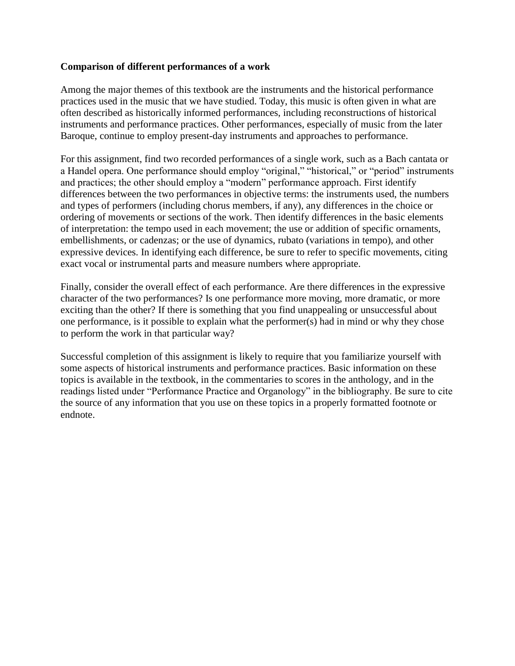## **Comparison of different performances of a work**

Among the major themes of this textbook are the instruments and the historical performance practices used in the music that we have studied. Today, this music is often given in what are often described as historically informed performances, including reconstructions of historical instruments and performance practices. Other performances, especially of music from the later Baroque, continue to employ present-day instruments and approaches to performance.

For this assignment, find two recorded performances of a single work, such as a Bach cantata or a Handel opera. One performance should employ "original," "historical," or "period" instruments and practices; the other should employ a "modern" performance approach. First identify differences between the two performances in objective terms: the instruments used, the numbers and types of performers (including chorus members, if any), any differences in the choice or ordering of movements or sections of the work. Then identify differences in the basic elements of interpretation: the tempo used in each movement; the use or addition of specific ornaments, embellishments, or cadenzas; or the use of dynamics, rubato (variations in tempo), and other expressive devices. In identifying each difference, be sure to refer to specific movements, citing exact vocal or instrumental parts and measure numbers where appropriate.

Finally, consider the overall effect of each performance. Are there differences in the expressive character of the two performances? Is one performance more moving, more dramatic, or more exciting than the other? If there is something that you find unappealing or unsuccessful about one performance, is it possible to explain what the performer(s) had in mind or why they chose to perform the work in that particular way?

Successful completion of this assignment is likely to require that you familiarize yourself with some aspects of historical instruments and performance practices. Basic information on these topics is available in the textbook, in the commentaries to scores in the anthology, and in the readings listed under "Performance Practice and Organology" in the bibliography. Be sure to cite the source of any information that you use on these topics in a properly formatted footnote or endnote.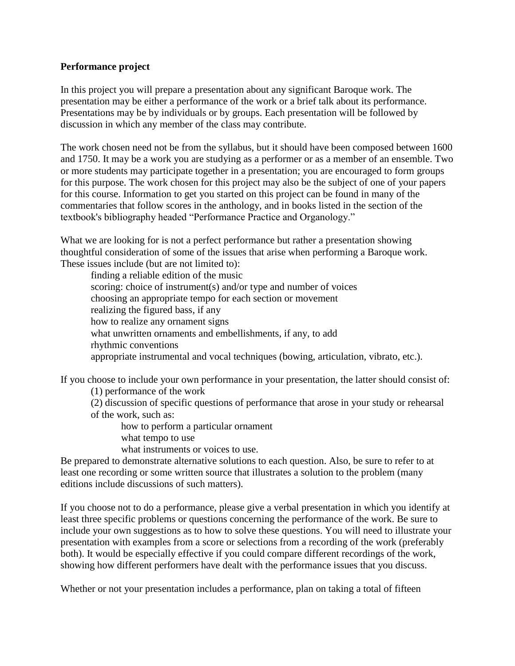## **Performance project**

In this project you will prepare a presentation about any significant Baroque work. The presentation may be either a performance of the work or a brief talk about its performance. Presentations may be by individuals or by groups. Each presentation will be followed by discussion in which any member of the class may contribute.

The work chosen need not be from the syllabus, but it should have been composed between 1600 and 1750. It may be a work you are studying as a performer or as a member of an ensemble. Two or more students may participate together in a presentation; you are encouraged to form groups for this purpose. The work chosen for this project may also be the subject of one of your papers for this course. Information to get you started on this project can be found in many of the commentaries that follow scores in the anthology, and in books listed in the section of the textbook's bibliography headed "Performance Practice and Organology."

What we are looking for is not a perfect performance but rather a presentation showing thoughtful consideration of some of the issues that arise when performing a Baroque work. These issues include (but are not limited to):

finding a reliable edition of the music scoring: choice of instrument(s) and/or type and number of voices choosing an appropriate tempo for each section or movement realizing the figured bass, if any how to realize any ornament signs what unwritten ornaments and embellishments, if any, to add rhythmic conventions appropriate instrumental and vocal techniques (bowing, articulation, vibrato, etc.).

If you choose to include your own performance in your presentation, the latter should consist of:

(1) performance of the work

(2) discussion of specific questions of performance that arose in your study or rehearsal of the work, such as:

how to perform a particular ornament what tempo to use

what instruments or voices to use.

Be prepared to demonstrate alternative solutions to each question. Also, be sure to refer to at least one recording or some written source that illustrates a solution to the problem (many editions include discussions of such matters).

If you choose not to do a performance, please give a verbal presentation in which you identify at least three specific problems or questions concerning the performance of the work. Be sure to include your own suggestions as to how to solve these questions. You will need to illustrate your presentation with examples from a score or selections from a recording of the work (preferably both). It would be especially effective if you could compare different recordings of the work, showing how different performers have dealt with the performance issues that you discuss.

Whether or not your presentation includes a performance, plan on taking a total of fifteen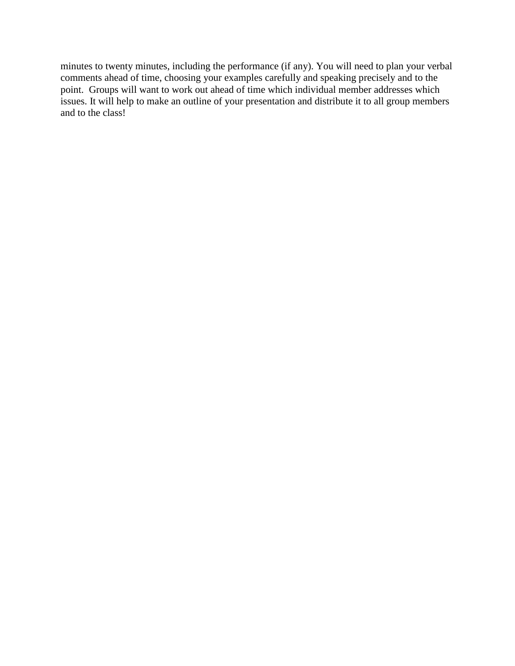minutes to twenty minutes, including the performance (if any). You will need to plan your verbal comments ahead of time, choosing your examples carefully and speaking precisely and to the point. Groups will want to work out ahead of time which individual member addresses which issues. It will help to make an outline of your presentation and distribute it to all group members and to the class!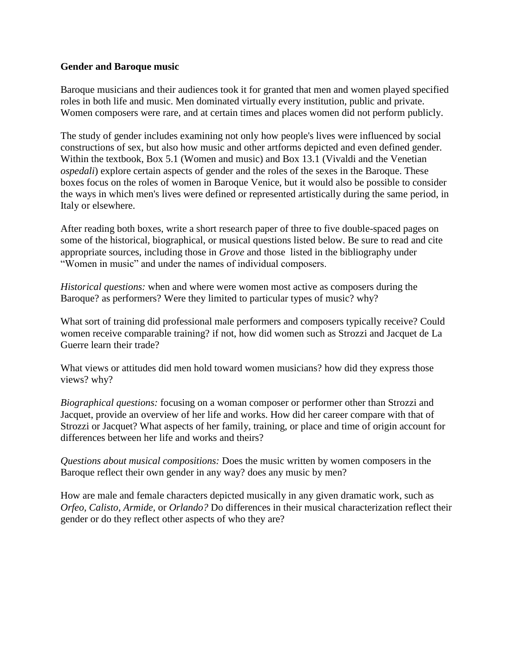### **Gender and Baroque music**

Baroque musicians and their audiences took it for granted that men and women played specified roles in both life and music. Men dominated virtually every institution, public and private. Women composers were rare, and at certain times and places women did not perform publicly.

The study of gender includes examining not only how people's lives were influenced by social constructions of sex, but also how music and other artforms depicted and even defined gender. Within the textbook, Box 5.1 (Women and music) and Box 13.1 (Vivaldi and the Venetian *ospedali*) explore certain aspects of gender and the roles of the sexes in the Baroque. These boxes focus on the roles of women in Baroque Venice, but it would also be possible to consider the ways in which men's lives were defined or represented artistically during the same period, in Italy or elsewhere.

After reading both boxes, write a short research paper of three to five double-spaced pages on some of the historical, biographical, or musical questions listed below. Be sure to read and cite appropriate sources, including those in *Grove* and those listed in the bibliography under "Women in music" and under the names of individual composers.

*Historical questions:* when and where were women most active as composers during the Baroque? as performers? Were they limited to particular types of music? why?

What sort of training did professional male performers and composers typically receive? Could women receive comparable training? if not, how did women such as Strozzi and Jacquet de La Guerre learn their trade?

What views or attitudes did men hold toward women musicians? how did they express those views? why?

*Biographical questions:* focusing on a woman composer or performer other than Strozzi and Jacquet, provide an overview of her life and works. How did her career compare with that of Strozzi or Jacquet? What aspects of her family, training, or place and time of origin account for differences between her life and works and theirs?

*Questions about musical compositions:* Does the music written by women composers in the Baroque reflect their own gender in any way? does any music by men?

How are male and female characters depicted musically in any given dramatic work, such as *Orfeo, Calisto, Armide,* or *Orlando?* Do differences in their musical characterization reflect their gender or do they reflect other aspects of who they are?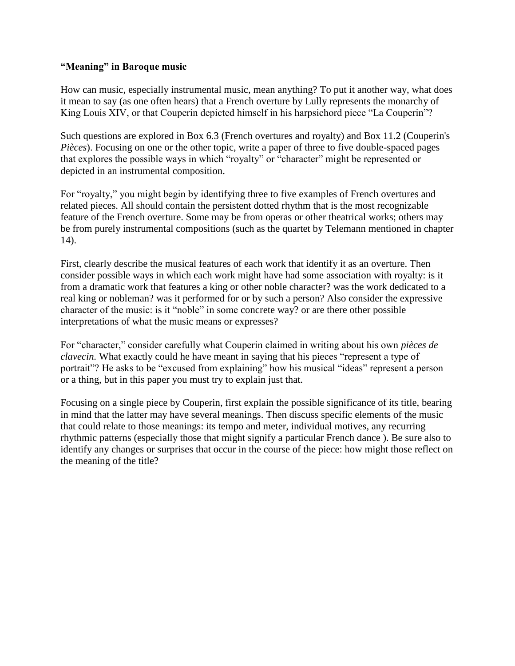# **"Meaning" in Baroque music**

How can music, especially instrumental music, mean anything? To put it another way, what does it mean to say (as one often hears) that a French overture by Lully represents the monarchy of King Louis XIV, or that Couperin depicted himself in his harpsichord piece "La Couperin"?

Such questions are explored in Box 6.3 (French overtures and royalty) and Box 11.2 (Couperin's *Pièces*). Focusing on one or the other topic, write a paper of three to five double-spaced pages that explores the possible ways in which "royalty" or "character" might be represented or depicted in an instrumental composition.

For "royalty," you might begin by identifying three to five examples of French overtures and related pieces. All should contain the persistent dotted rhythm that is the most recognizable feature of the French overture. Some may be from operas or other theatrical works; others may be from purely instrumental compositions (such as the quartet by Telemann mentioned in chapter 14).

First, clearly describe the musical features of each work that identify it as an overture. Then consider possible ways in which each work might have had some association with royalty: is it from a dramatic work that features a king or other noble character? was the work dedicated to a real king or nobleman? was it performed for or by such a person? Also consider the expressive character of the music: is it "noble" in some concrete way? or are there other possible interpretations of what the music means or expresses?

For "character," consider carefully what Couperin claimed in writing about his own *pièces de clavecin.* What exactly could he have meant in saying that his pieces "represent a type of portrait"? He asks to be "excused from explaining" how his musical "ideas" represent a person or a thing, but in this paper you must try to explain just that.

Focusing on a single piece by Couperin, first explain the possible significance of its title, bearing in mind that the latter may have several meanings. Then discuss specific elements of the music that could relate to those meanings: its tempo and meter, individual motives, any recurring rhythmic patterns (especially those that might signify a particular French dance ). Be sure also to identify any changes or surprises that occur in the course of the piece: how might those reflect on the meaning of the title?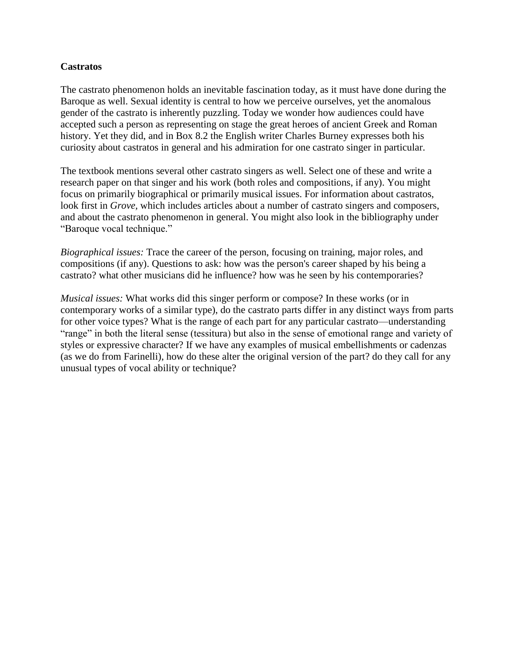# **Castratos**

The castrato phenomenon holds an inevitable fascination today, as it must have done during the Baroque as well. Sexual identity is central to how we perceive ourselves, yet the anomalous gender of the castrato is inherently puzzling. Today we wonder how audiences could have accepted such a person as representing on stage the great heroes of ancient Greek and Roman history. Yet they did, and in Box 8.2 the English writer Charles Burney expresses both his curiosity about castratos in general and his admiration for one castrato singer in particular.

The textbook mentions several other castrato singers as well. Select one of these and write a research paper on that singer and his work (both roles and compositions, if any). You might focus on primarily biographical or primarily musical issues. For information about castratos, look first in *Grove,* which includes articles about a number of castrato singers and composers, and about the castrato phenomenon in general. You might also look in the bibliography under "Baroque vocal technique."

*Biographical issues:* Trace the career of the person, focusing on training, major roles, and compositions (if any). Questions to ask: how was the person's career shaped by his being a castrato? what other musicians did he influence? how was he seen by his contemporaries?

*Musical issues:* What works did this singer perform or compose? In these works (or in contemporary works of a similar type), do the castrato parts differ in any distinct ways from parts for other voice types? What is the range of each part for any particular castrato—understanding "range" in both the literal sense (tessitura) but also in the sense of emotional range and variety of styles or expressive character? If we have any examples of musical embellishments or cadenzas (as we do from Farinelli), how do these alter the original version of the part? do they call for any unusual types of vocal ability or technique?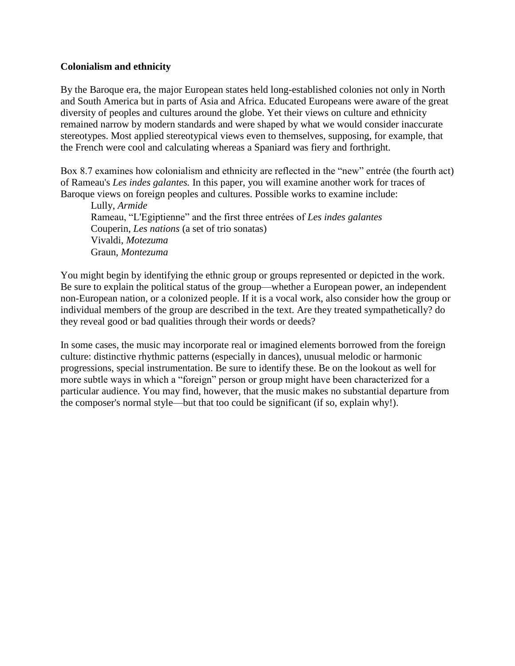# **Colonialism and ethnicity**

By the Baroque era, the major European states held long-established colonies not only in North and South America but in parts of Asia and Africa. Educated Europeans were aware of the great diversity of peoples and cultures around the globe. Yet their views on culture and ethnicity remained narrow by modern standards and were shaped by what we would consider inaccurate stereotypes. Most applied stereotypical views even to themselves, supposing, for example, that the French were cool and calculating whereas a Spaniard was fiery and forthright.

Box 8.7 examines how colonialism and ethnicity are reflected in the "new" entrée (the fourth act) of Rameau's *Les indes galantes.* In this paper, you will examine another work for traces of Baroque views on foreign peoples and cultures. Possible works to examine include:

Lully, *Armide* Rameau, "L'Egiptienne" and the first three entrées of *Les indes galantes* Couperin, *Les nations* (a set of trio sonatas) Vivaldi, *Motezuma* Graun, *Montezuma*

You might begin by identifying the ethnic group or groups represented or depicted in the work. Be sure to explain the political status of the group—whether a European power, an independent non-European nation, or a colonized people. If it is a vocal work, also consider how the group or individual members of the group are described in the text. Are they treated sympathetically? do they reveal good or bad qualities through their words or deeds?

In some cases, the music may incorporate real or imagined elements borrowed from the foreign culture: distinctive rhythmic patterns (especially in dances), unusual melodic or harmonic progressions, special instrumentation. Be sure to identify these. Be on the lookout as well for more subtle ways in which a "foreign" person or group might have been characterized for a particular audience. You may find, however, that the music makes no substantial departure from the composer's normal style—but that too could be significant (if so, explain why!).